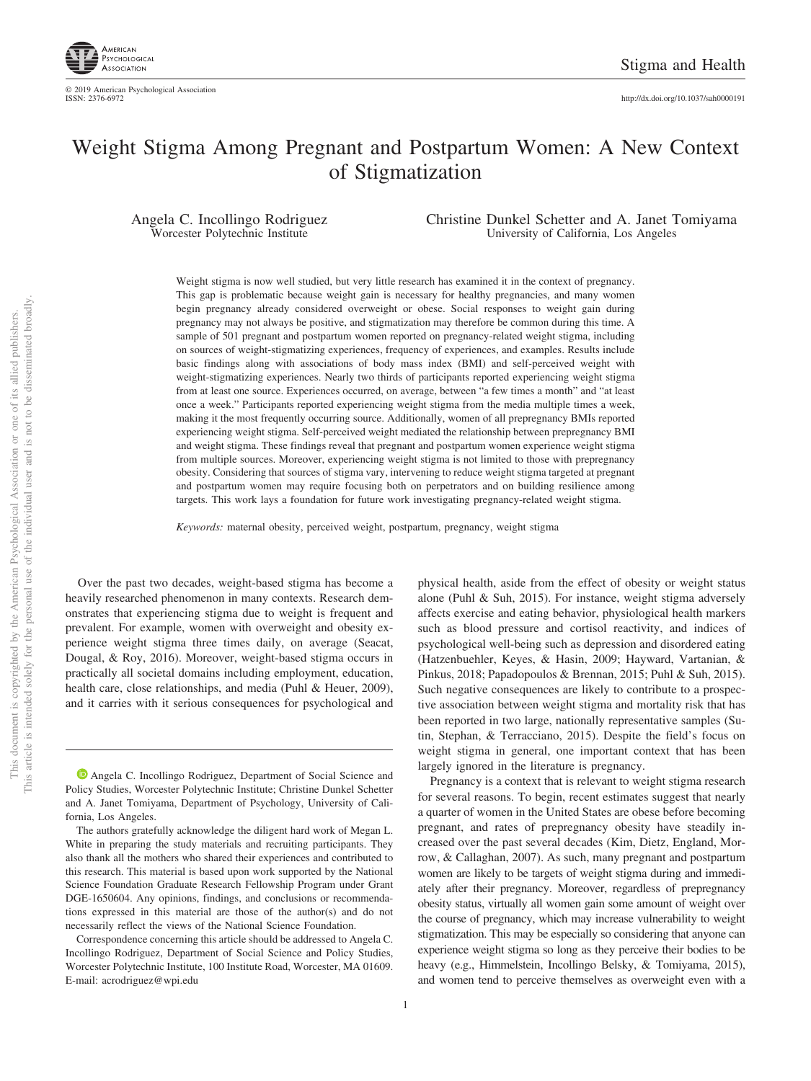

# Weight Stigma Among Pregnant and Postpartum Women: A New Context of Stigmatization

Angela C. Incollingo Rodriguez Worcester Polytechnic Institute

Christine Dunkel Schetter and A. Janet Tomiyama University of California, Los Angeles

Weight stigma is now well studied, but very little research has examined it in the context of pregnancy. This gap is problematic because weight gain is necessary for healthy pregnancies, and many women begin pregnancy already considered overweight or obese. Social responses to weight gain during pregnancy may not always be positive, and stigmatization may therefore be common during this time. A sample of 501 pregnant and postpartum women reported on pregnancy-related weight stigma, including on sources of weight-stigmatizing experiences, frequency of experiences, and examples. Results include basic findings along with associations of body mass index (BMI) and self-perceived weight with weight-stigmatizing experiences. Nearly two thirds of participants reported experiencing weight stigma from at least one source. Experiences occurred, on average, between "a few times a month" and "at least once a week." Participants reported experiencing weight stigma from the media multiple times a week, making it the most frequently occurring source. Additionally, women of all prepregnancy BMIs reported experiencing weight stigma. Self-perceived weight mediated the relationship between prepregnancy BMI and weight stigma. These findings reveal that pregnant and postpartum women experience weight stigma from multiple sources. Moreover, experiencing weight stigma is not limited to those with prepregnancy obesity. Considering that sources of stigma vary, intervening to reduce weight stigma targeted at pregnant and postpartum women may require focusing both on perpetrators and on building resilience among targets. This work lays a foundation for future work investigating pregnancy-related weight stigma.

*Keywords:* maternal obesity, perceived weight, postpartum, pregnancy, weight stigma

Over the past two decades, weight-based stigma has become a heavily researched phenomenon in many contexts. Research demonstrates that experiencing stigma due to weight is frequent and prevalent. For example, women with overweight and obesity experience weight stigma three times daily, on average (Seacat, Dougal, & Roy, 2016). Moreover, weight-based stigma occurs in practically all societal domains including employment, education, health care, close relationships, and media (Puhl & Heuer, 2009), and it carries with it serious consequences for psychological and

**D** [Angela C. Incollingo Rodriguez,](https://orcid.org/0000-0003-1609-4163) Department of Social Science and Policy Studies, Worcester Polytechnic Institute; Christine Dunkel Schetter and A. Janet Tomiyama, Department of Psychology, University of California, Los Angeles.

The authors gratefully acknowledge the diligent hard work of Megan L. White in preparing the study materials and recruiting participants. They also thank all the mothers who shared their experiences and contributed to this research. This material is based upon work supported by the National Science Foundation Graduate Research Fellowship Program under Grant DGE-1650604. Any opinions, findings, and conclusions or recommendations expressed in this material are those of the author(s) and do not necessarily reflect the views of the National Science Foundation.

Correspondence concerning this article should be addressed to Angela C. Incollingo Rodriguez, Department of Social Science and Policy Studies, Worcester Polytechnic Institute, 100 Institute Road, Worcester, MA 01609. E-mail: [acrodriguez@wpi.edu](mailto:acrodriguez@wpi.edu)

physical health, aside from the effect of obesity or weight status alone (Puhl & Suh, 2015). For instance, weight stigma adversely affects exercise and eating behavior, physiological health markers such as blood pressure and cortisol reactivity, and indices of psychological well-being such as depression and disordered eating (Hatzenbuehler, Keyes, & Hasin, 2009; Hayward, Vartanian, & Pinkus, 2018; [Papadopoulos & Brennan, 2015;](#page-7-0) Puhl & Suh, 2015). Such negative consequences are likely to contribute to a prospective association between weight stigma and mortality risk that has been reported in two large, nationally representative samples (Sutin, Stephan, & Terracciano, 2015). Despite the field's focus on weight stigma in general, one important context that has been largely ignored in the literature is pregnancy.

Pregnancy is a context that is relevant to weight stigma research for several reasons. To begin, recent estimates suggest that nearly a quarter of women in the United States are obese before becoming pregnant, and rates of prepregnancy obesity have steadily increased over the past several decades (Kim, Dietz, England, Morrow, & Callaghan, 2007). As such, many pregnant and postpartum women are likely to be targets of weight stigma during and immediately after their pregnancy. Moreover, regardless of prepregnancy obesity status, virtually all women gain some amount of weight over the course of pregnancy, which may increase vulnerability to weight stigmatization. This may be especially so considering that anyone can experience weight stigma so long as they perceive their bodies to be heavy (e.g., Himmelstein, Incollingo Belsky, & Tomiyama, 2015), and women tend to perceive themselves as overweight even with a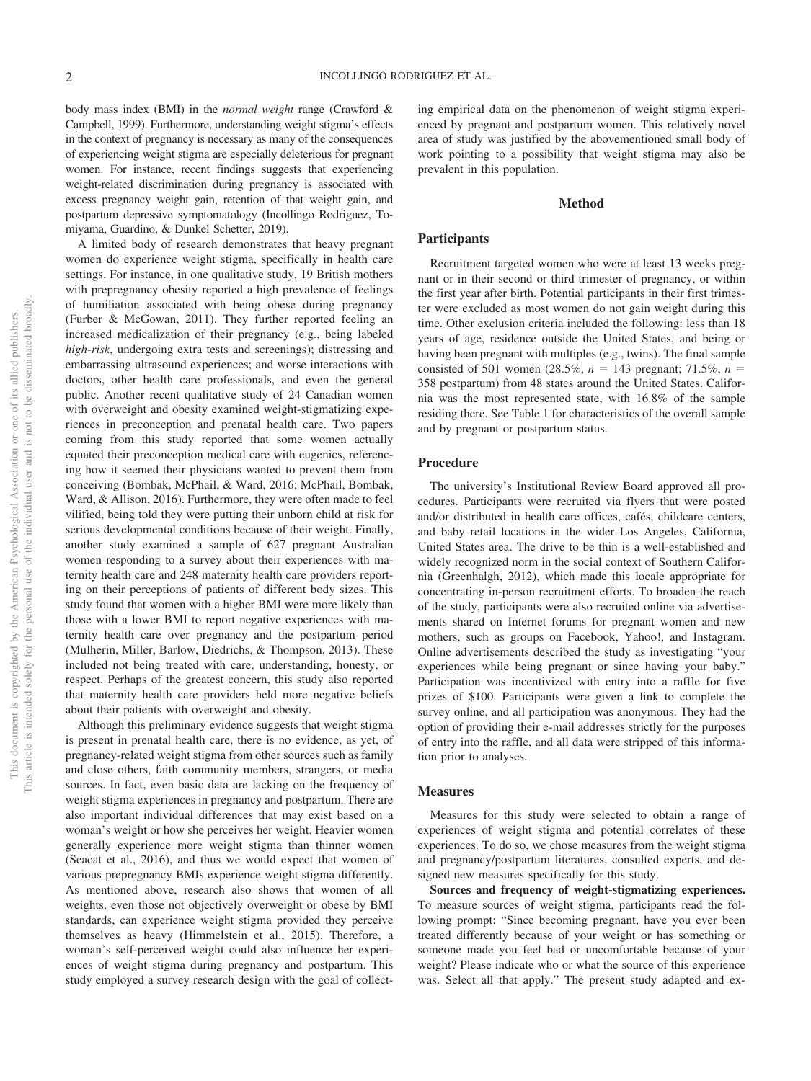body mass index (BMI) in the *normal weight* range (Crawford & Campbell, 1999). Furthermore, understanding weight stigma's effects in the context of pregnancy is necessary as many of the consequences of experiencing weight stigma are especially deleterious for pregnant women. For instance, recent findings suggests that experiencing weight-related discrimination during pregnancy is associated with excess pregnancy weight gain, retention of that weight gain, and postpartum depressive symptomatology (Incollingo Rodriguez, Tomiyama, Guardino, & Dunkel Schetter, 2019).

A limited body of research demonstrates that heavy pregnant women do experience weight stigma, specifically in health care settings. For instance, in one qualitative study, 19 British mothers with prepregnancy obesity reported a high prevalence of feelings of humiliation associated with being obese during pregnancy (Furber & McGowan, 2011). They further reported feeling an increased medicalization of their pregnancy (e.g., being labeled *high-risk*, undergoing extra tests and screenings); distressing and embarrassing ultrasound experiences; and worse interactions with doctors, other health care professionals, and even the general public. Another recent qualitative study of 24 Canadian women with overweight and obesity examined weight-stigmatizing experiences in preconception and prenatal health care. Two papers coming from this study reported that some women actually equated their preconception medical care with eugenics, referencing how it seemed their physicians wanted to prevent them from conceiving [\(Bombak, McPhail, & Ward, 2016;](#page-7-1) McPhail, Bombak, Ward, & Allison, 2016). Furthermore, they were often made to feel vilified, being told they were putting their unborn child at risk for serious developmental conditions because of their weight. Finally, another study examined a sample of 627 pregnant Australian women responding to a survey about their experiences with maternity health care and 248 maternity health care providers reporting on their perceptions of patients of different body sizes. This study found that women with a higher BMI were more likely than those with a lower BMI to report negative experiences with maternity health care over pregnancy and the postpartum period (Mulherin, Miller, Barlow, Diedrichs, & Thompson, 2013). These included not being treated with care, understanding, honesty, or respect. Perhaps of the greatest concern, this study also reported that maternity health care providers held more negative beliefs about their patients with overweight and obesity.

Although this preliminary evidence suggests that weight stigma is present in prenatal health care, there is no evidence, as yet, of pregnancy-related weight stigma from other sources such as family and close others, faith community members, strangers, or media sources. In fact, even basic data are lacking on the frequency of weight stigma experiences in pregnancy and postpartum. There are also important individual differences that may exist based on a woman's weight or how she perceives her weight. Heavier women generally experience more weight stigma than thinner women (Seacat et al., 2016), and thus we would expect that women of various prepregnancy BMIs experience weight stigma differently. As mentioned above, research also shows that women of all weights, even those not objectively overweight or obese by BMI standards, can experience weight stigma provided they perceive themselves as heavy (Himmelstein et al., 2015). Therefore, a woman's self-perceived weight could also influence her experiences of weight stigma during pregnancy and postpartum. This study employed a survey research design with the goal of collecting empirical data on the phenomenon of weight stigma experienced by pregnant and postpartum women. This relatively novel area of study was justified by the abovementioned small body of work pointing to a possibility that weight stigma may also be prevalent in this population.

## **Method**

## **Participants**

Recruitment targeted women who were at least 13 weeks pregnant or in their second or third trimester of pregnancy, or within the first year after birth. Potential participants in their first trimester were excluded as most women do not gain weight during this time. Other exclusion criteria included the following: less than 18 years of age, residence outside the United States, and being or having been pregnant with multiples (e.g., twins). The final sample consisted of 501 women (28.5%,  $n = 143$  pregnant; 71.5%,  $n =$ 358 postpartum) from 48 states around the United States. California was the most represented state, with 16.8% of the sample residing there. See Table 1 for characteristics of the overall sample and by pregnant or postpartum status.

## **Procedure**

The university's Institutional Review Board approved all procedures. Participants were recruited via flyers that were posted and/or distributed in health care offices, cafés, childcare centers, and baby retail locations in the wider Los Angeles, California, United States area. The drive to be thin is a well-established and widely recognized norm in the social context of Southern California (Greenhalgh, 2012), which made this locale appropriate for concentrating in-person recruitment efforts. To broaden the reach of the study, participants were also recruited online via advertisements shared on Internet forums for pregnant women and new mothers, such as groups on Facebook, Yahoo!, and Instagram. Online advertisements described the study as investigating "your experiences while being pregnant or since having your baby." Participation was incentivized with entry into a raffle for five prizes of \$100. Participants were given a link to complete the survey online, and all participation was anonymous. They had the option of providing their e-mail addresses strictly for the purposes of entry into the raffle, and all data were stripped of this information prior to analyses.

### **Measures**

Measures for this study were selected to obtain a range of experiences of weight stigma and potential correlates of these experiences. To do so, we chose measures from the weight stigma and pregnancy/postpartum literatures, consulted experts, and designed new measures specifically for this study.

**Sources and frequency of weight-stigmatizing experiences.** To measure sources of weight stigma, participants read the following prompt: "Since becoming pregnant, have you ever been treated differently because of your weight or has something or someone made you feel bad or uncomfortable because of your weight? Please indicate who or what the source of this experience was. Select all that apply." The present study adapted and ex-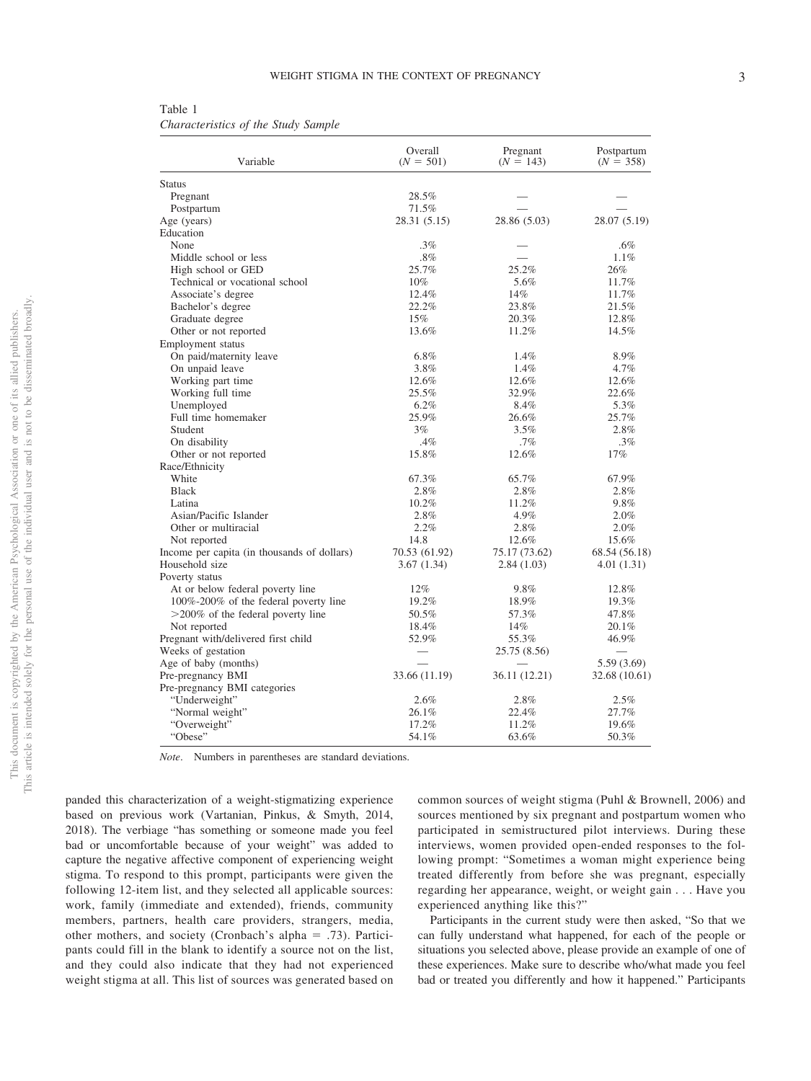Table 1 *Characteristics of the Study Sample*

| Variable                                    | Overall<br>$(N = 501)$ | Pregnant<br>$(N = 143)$  | Postpartum<br>$(N = 358)$ |
|---------------------------------------------|------------------------|--------------------------|---------------------------|
| <b>Status</b>                               |                        |                          |                           |
| Pregnant                                    | 28.5%                  |                          |                           |
| Postpartum                                  | 71.5%                  |                          |                           |
| Age (years)                                 | 28.31 (5.15)           | 28.86 (5.03)             | 28.07 (5.19)              |
| Education                                   |                        |                          |                           |
| None                                        | $.3\%$                 |                          | $.6\%$                    |
| Middle school or less                       | $.8\%$                 | $\overline{\phantom{0}}$ | 1.1%                      |
| High school or GED                          | 25.7%                  | 25.2%                    | 26%                       |
| Technical or vocational school              | $10\%$                 | 5.6%                     | 11.7%                     |
| Associate's degree                          | 12.4%                  | 14%                      | 11.7%                     |
| Bachelor's degree                           | 22.2%                  | 23.8%                    | 21.5%                     |
| Graduate degree                             | 15%                    | 20.3%                    | 12.8%                     |
| Other or not reported                       | 13.6%                  | 11.2%                    | 14.5%                     |
| Employment status                           |                        |                          |                           |
| On paid/maternity leave                     | 6.8%                   | 1.4%                     | 8.9%                      |
| On unpaid leave                             | 3.8%                   | 1.4%                     | 4.7%                      |
| Working part time                           | 12.6%                  | 12.6%                    | 12.6%                     |
| Working full time                           | 25.5%                  | 32.9%                    | 22.6%                     |
| Unemployed                                  | 6.2%                   | 8.4%                     | 5.3%                      |
| Full time homemaker                         | 25.9%                  | 26.6%                    | 25.7%                     |
| Student                                     | 3%                     | 3.5%                     | 2.8%                      |
| On disability                               | $.4\%$                 | $.7\%$                   | .3%                       |
| Other or not reported                       | 15.8%                  | 12.6%                    | 17%                       |
| Race/Ethnicity                              |                        |                          |                           |
| White                                       | 67.3%                  | 65.7%                    | 67.9%                     |
| <b>Black</b>                                | 2.8%                   | 2.8%                     | 2.8%                      |
| Latina                                      | 10.2%                  | 11.2%                    | 9.8%                      |
| Asian/Pacific Islander                      | 2.8%                   | 4.9%                     | 2.0%                      |
| Other or multiracial                        | 2.2%                   | 2.8%                     | 2.0%                      |
| Not reported                                | 14.8                   | 12.6%                    | 15.6%                     |
| Income per capita (in thousands of dollars) | 70.53 (61.92)          | 75.17 (73.62)            | 68.54 (56.18)             |
| Household size                              | 3.67(1.34)             | 2.84(1.03)               | 4.01(1.31)                |
| Poverty status                              |                        |                          |                           |
| At or below federal poverty line            | 12%                    | 9.8%                     | 12.8%                     |
| 100%-200% of the federal poverty line       | 19.2%                  | 18.9%                    | 19.3%                     |
| >200% of the federal poverty line           | 50.5%                  | 57.3%                    | 47.8%                     |
| Not reported                                | 18.4%                  | 14%                      | 20.1%                     |
| Pregnant with/delivered first child         | 52.9%                  | 55.3%                    | 46.9%                     |
| Weeks of gestation                          |                        | 25.75 (8.56)             |                           |
| Age of baby (months)                        |                        |                          | 5.59 (3.69)               |
| Pre-pregnancy BMI                           | 33.66 (11.19)          | 36.11 (12.21)            | 32.68 (10.61)             |
| Pre-pregnancy BMI categories                |                        |                          |                           |
| "Underweight"                               | 2.6%                   | 2.8%                     | 2.5%                      |
| "Normal weight"                             | 26.1%                  | 22.4%                    | 27.7%                     |
| "Overweight"                                | 17.2%                  | 11.2%                    | 19.6%                     |
| "Obese"                                     | 54.1%                  | 63.6%                    | 50.3%                     |

*Note*. Numbers in parentheses are standard deviations.

panded this characterization of a weight-stigmatizing experience based on previous work (Vartanian, Pinkus, & Smyth, 2014, 2018). The verbiage "has something or someone made you feel bad or uncomfortable because of your weight" was added to capture the negative affective component of experiencing weight stigma. To respond to this prompt, participants were given the following 12-item list, and they selected all applicable sources: work, family (immediate and extended), friends, community members, partners, health care providers, strangers, media, other mothers, and society (Cronbach's alpha  $= .73$ ). Participants could fill in the blank to identify a source not on the list, and they could also indicate that they had not experienced weight stigma at all. This list of sources was generated based on

common sources of weight stigma (Puhl & Brownell, 2006) and sources mentioned by six pregnant and postpartum women who participated in semistructured pilot interviews. During these interviews, women provided open-ended responses to the following prompt: "Sometimes a woman might experience being treated differently from before she was pregnant, especially regarding her appearance, weight, or weight gain... Have you experienced anything like this?"

Participants in the current study were then asked, "So that we can fully understand what happened, for each of the people or situations you selected above, please provide an example of one of these experiences. Make sure to describe who/what made you feel bad or treated you differently and how it happened." Participants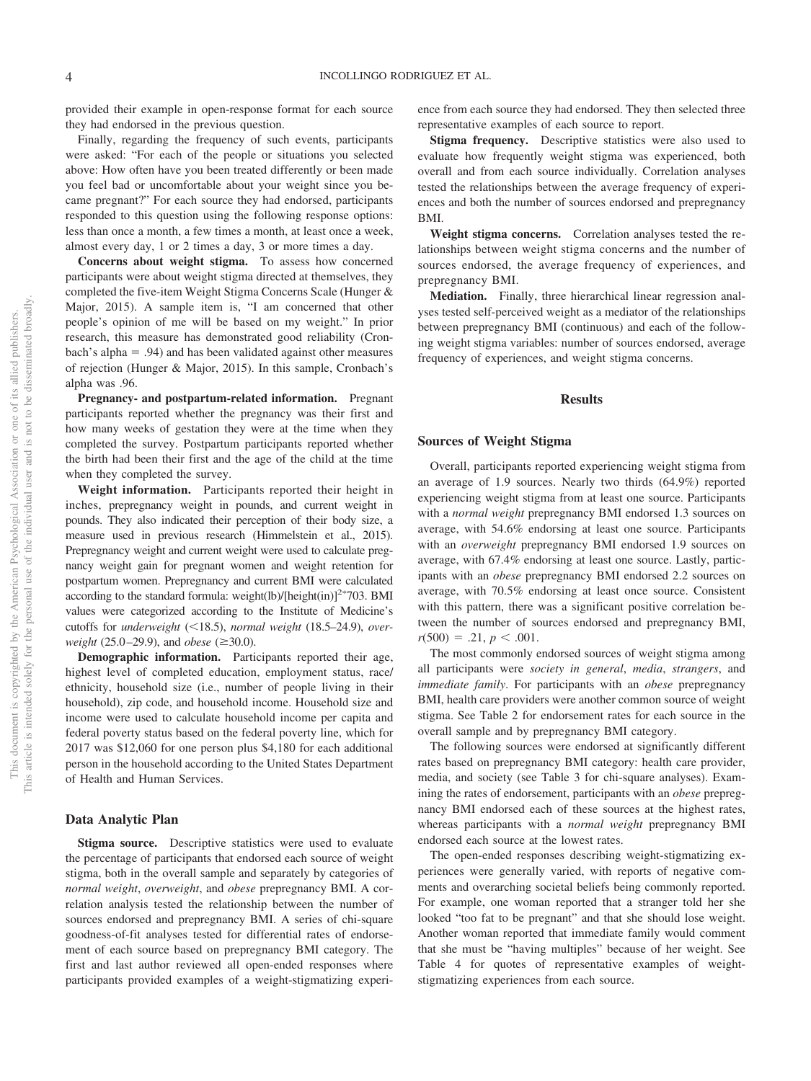provided their example in open-response format for each source they had endorsed in the previous question.

Finally, regarding the frequency of such events, participants were asked: "For each of the people or situations you selected above: How often have you been treated differently or been made you feel bad or uncomfortable about your weight since you became pregnant?" For each source they had endorsed, participants responded to this question using the following response options: less than once a month, a few times a month, at least once a week, almost every day, 1 or 2 times a day, 3 or more times a day.

**Concerns about weight stigma.** To assess how concerned participants were about weight stigma directed at themselves, they completed the five-item Weight Stigma Concerns Scale (Hunger & Major, 2015). A sample item is, "I am concerned that other people's opinion of me will be based on my weight." In prior research, this measure has demonstrated good reliability (Cronbach's alpha  $= .94$ ) and has been validated against other measures of rejection (Hunger & Major, 2015). In this sample, Cronbach's alpha was .96.

**Pregnancy- and postpartum-related information.** Pregnant participants reported whether the pregnancy was their first and how many weeks of gestation they were at the time when they completed the survey. Postpartum participants reported whether the birth had been their first and the age of the child at the time when they completed the survey.

**Weight information.** Participants reported their height in inches, prepregnancy weight in pounds, and current weight in pounds. They also indicated their perception of their body size, a measure used in previous research (Himmelstein et al., 2015). Prepregnancy weight and current weight were used to calculate pregnancy weight gain for pregnant women and weight retention for postpartum women. Prepregnancy and current BMI were calculated according to the standard formula: weight(lb)/[height(in)] $^{2*}$ 703. BMI values were categorized according to the Institute of Medicine's cutoffs for *underweight* (<18.5), *normal weight* (18.5–24.9), *overweight* (25.0–29.9), and *obese* ( $\geq$ 30.0).

**Demographic information.** Participants reported their age, highest level of completed education, employment status, race/ ethnicity, household size (i.e., number of people living in their household), zip code, and household income. Household size and income were used to calculate household income per capita and federal poverty status based on the federal poverty line, which for 2017 was \$12,060 for one person plus \$4,180 for each additional person in the household according to the United States Department of Health and Human Services.

#### **Data Analytic Plan**

**Stigma source.** Descriptive statistics were used to evaluate the percentage of participants that endorsed each source of weight stigma, both in the overall sample and separately by categories of *normal weight*, *overweight*, and *obese* prepregnancy BMI. A correlation analysis tested the relationship between the number of sources endorsed and prepregnancy BMI. A series of chi-square goodness-of-fit analyses tested for differential rates of endorsement of each source based on prepregnancy BMI category. The first and last author reviewed all open-ended responses where participants provided examples of a weight-stigmatizing experience from each source they had endorsed. They then selected three representative examples of each source to report.

**Stigma frequency.** Descriptive statistics were also used to evaluate how frequently weight stigma was experienced, both overall and from each source individually. Correlation analyses tested the relationships between the average frequency of experiences and both the number of sources endorsed and prepregnancy BMI.

**Weight stigma concerns.** Correlation analyses tested the relationships between weight stigma concerns and the number of sources endorsed, the average frequency of experiences, and prepregnancy BMI.

**Mediation.** Finally, three hierarchical linear regression analyses tested self-perceived weight as a mediator of the relationships between prepregnancy BMI (continuous) and each of the following weight stigma variables: number of sources endorsed, average frequency of experiences, and weight stigma concerns.

### **Results**

### **Sources of Weight Stigma**

Overall, participants reported experiencing weight stigma from an average of 1.9 sources. Nearly two thirds (64.9%) reported experiencing weight stigma from at least one source. Participants with a *normal weight* prepregnancy BMI endorsed 1.3 sources on average, with 54.6% endorsing at least one source. Participants with an *overweight* prepregnancy BMI endorsed 1.9 sources on average, with 67.4% endorsing at least one source. Lastly, participants with an *obese* prepregnancy BMI endorsed 2.2 sources on average, with 70.5% endorsing at least once source. Consistent with this pattern, there was a significant positive correlation between the number of sources endorsed and prepregnancy BMI,  $r(500) = .21, p < .001.$ 

The most commonly endorsed sources of weight stigma among all participants were *society in general*, *media*, *strangers*, and *immediate family*. For participants with an *obese* prepregnancy BMI, health care providers were another common source of weight stigma. See Table 2 for endorsement rates for each source in the overall sample and by prepregnancy BMI category.

The following sources were endorsed at significantly different rates based on prepregnancy BMI category: health care provider, media, and society (see Table 3 for chi-square analyses). Examining the rates of endorsement, participants with an *obese* prepregnancy BMI endorsed each of these sources at the highest rates, whereas participants with a *normal weight* prepregnancy BMI endorsed each source at the lowest rates.

The open-ended responses describing weight-stigmatizing experiences were generally varied, with reports of negative comments and overarching societal beliefs being commonly reported. For example, one woman reported that a stranger told her she looked "too fat to be pregnant" and that she should lose weight. Another woman reported that immediate family would comment that she must be "having multiples" because of her weight. See [Table 4](#page-5-0) for quotes of representative examples of weightstigmatizing experiences from each source.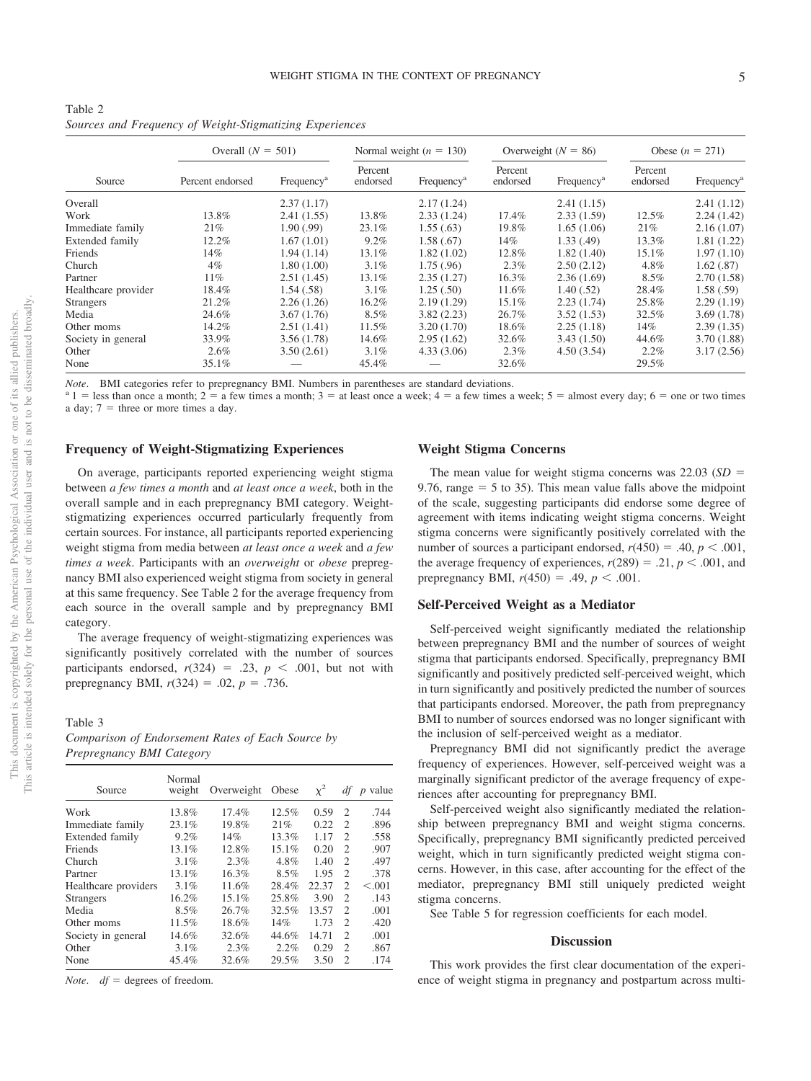| Table 2 |  |                                                          |  |
|---------|--|----------------------------------------------------------|--|
|         |  | Sources and Frequency of Weight-Stigmatizing Experiences |  |

|                     |                  | Overall $(N = 501)$    |                     | Normal weight $(n = 130)$ | Overweight ( $N = 86$ ) |                        | Obese $(n = 271)$   |                        |
|---------------------|------------------|------------------------|---------------------|---------------------------|-------------------------|------------------------|---------------------|------------------------|
| Source              | Percent endorsed | Frequency <sup>a</sup> | Percent<br>endorsed | Frequency <sup>a</sup>    | Percent<br>endorsed     | Frequency <sup>a</sup> | Percent<br>endorsed | Frequency <sup>a</sup> |
| Overall             |                  | 2.37(1.17)             |                     | 2.17(1.24)                |                         | 2.41(1.15)             |                     | 2.41(1.12)             |
| Work                | 13.8%            | 2.41(1.55)             | 13.8%               | 2.33(1.24)                | 17.4%                   | 2.33(1.59)             | 12.5%               | 2.24(1.42)             |
| Immediate family    | 21%              | 1.90(0.99)             | 23.1%               | 1.55(.63)                 | 19.8%                   | 1.65(1.06)             | 21%                 | 2.16(1.07)             |
| Extended family     | 12.2%            | 1.67(1.01)             | 9.2%                | 1.58(.67)                 | 14%                     | 1.33(0.49)             | 13.3%               | 1.81(1.22)             |
| Friends             | 14%              | 1.94(1.14)             | 13.1%               | 1.82(1.02)                | 12.8%                   | 1.82(1.40)             | 15.1%               | 1.97(1.10)             |
| Church              | $4\%$            | 1.80(1.00)             | 3.1%                | 1.75(.96)                 | 2.3%                    | 2.50(2.12)             | 4.8%                | 1.62(.87)              |
| Partner             | 11%              | 2.51(1.45)             | 13.1%               | 2.35(1.27)                | 16.3%                   | 2.36(1.69)             | $8.5\%$             | 2.70(1.58)             |
| Healthcare provider | 18.4%            | 1.54(.58)              | $3.1\%$             | 1.25(.50)                 | 11.6%                   | 1.40(.52)              | 28.4%               | 1.58(.59)              |
| <b>Strangers</b>    | 21.2%            | 2.26(1.26)             | 16.2%               | 2.19(1.29)                | 15.1%                   | 2.23(1.74)             | 25.8%               | 2.29(1.19)             |
| Media               | 24.6%            | 3.67(1.76)             | 8.5%                | 3.82(2.23)                | 26.7%                   | 3.52(1.53)             | 32.5%               | 3.69(1.78)             |
| Other moms          | 14.2%            | 2.51(1.41)             | 11.5%               | 3.20(1.70)                | 18.6%                   | 2.25(1.18)             | 14%                 | 2.39(1.35)             |
| Society in general  | 33.9%            | 3.56(1.78)             | 14.6%               | 2.95(1.62)                | 32.6%                   | 3.43(1.50)             | 44.6%               | 3.70(1.88)             |
| Other               | $2.6\%$          | 3.50(2.61)             | 3.1%                | 4.33(3.06)                | 2.3%                    | 4.50(3.54)             | $2.2\%$             | 3.17(2.56)             |
| None                | 35.1%            |                        | 45.4%               |                           | 32.6%                   |                        | 29.5%               |                        |

*Note.* BMI categories refer to prepregnancy BMI. Numbers in parentheses are standard deviations.<br><sup>a</sup> 1 = less than once a month; 2 = a few times a month; 3 = at least once a week; 4 = a few times a week; 5 = almost every a day;  $7 =$  three or more times a day.

### **Frequency of Weight-Stigmatizing Experiences**

On average, participants reported experiencing weight stigma between *a few times a month* and *at least once a week*, both in the overall sample and in each prepregnancy BMI category. Weightstigmatizing experiences occurred particularly frequently from certain sources. For instance, all participants reported experiencing weight stigma from media between *at least once a week* and *a few times a week*. Participants with an *overweight* or *obese* prepregnancy BMI also experienced weight stigma from society in general at this same frequency. See Table 2 for the average frequency from each source in the overall sample and by prepregnancy BMI category.

The average frequency of weight-stigmatizing experiences was significantly positively correlated with the number of sources participants endorsed,  $r(324) = .23$ ,  $p < .001$ , but not with prepregnancy BMI,  $r(324) = .02$ ,  $p = .736$ .

Table 3

| Comparison of Endorsement Rates of Each Source by |  |  |
|---------------------------------------------------|--|--|
| Prepregnancy BMI Category                         |  |  |

| Source               | Normal<br>weight | Overweight | Obese    | $x^2$ | df                          | $p$ value |
|----------------------|------------------|------------|----------|-------|-----------------------------|-----------|
| Work                 | 13.8%            | 17.4%      | 12.5%    | 0.59  | $\overline{c}$              | .744      |
| Immediate family     | 23.1%            | 19.8%      | 21%      | 0.22  | $\mathcal{L}$               | .896      |
| Extended family      | 9.2%             | 14%        | 13.3%    | 1.17  | 2                           | .558      |
| Friends              | 13.1%            | 12.8%      | $15.1\%$ | 0.20  | $\mathcal{L}$               | .907      |
| Church               | 3.1%             | 2.3%       | 4.8%     | 1.40  | $\overline{c}$              | .497      |
| Partner              | 13.1%            | 16.3%      | 8.5%     | 1.95  | $\mathcal{L}$               | .378      |
| Healthcare providers | 3.1%             | 11.6%      | 28.4%    | 22.37 | $\overline{2}$              | < 0.001   |
| <b>Strangers</b>     | 16.2%            | 15.1%      | 25.8%    | 3.90  | $\overline{2}$              | .143      |
| Media                | 8.5%             | 26.7%      | 32.5%    | 13.57 | $\mathcal{D}_{\mathcal{L}}$ | .001      |
| Other moms           | 11.5%            | 18.6%      | 14%      | 1.73  | $\mathcal{L}$               | .420      |
| Society in general   | 14.6%            | 32.6%      | 44.6%    | 14.71 | $\mathcal{D}_{\mathcal{L}}$ | .001      |
| Other                | 3.1%             | 2.3%       | 2.2%     | 0.29  | $\mathcal{L}$               | .867      |
| None                 | 45.4%            | 32.6%      | 29.5%    | 3.50  | $\mathfrak{D}$              | .174      |

*Note.*  $df =$  degrees of freedom.

## **Weight Stigma Concerns**

The mean value for weight stigma concerns was  $22.03$  ( $SD =$ 9.76, range  $=$  5 to 35). This mean value falls above the midpoint of the scale, suggesting participants did endorse some degree of agreement with items indicating weight stigma concerns. Weight stigma concerns were significantly positively correlated with the number of sources a participant endorsed,  $r(450) = .40, p < .001$ , the average frequency of experiences,  $r(289) = .21$ ,  $p < .001$ , and prepregnancy BMI,  $r(450) = .49$ ,  $p < .001$ .

#### **Self-Perceived Weight as a Mediator**

Self-perceived weight significantly mediated the relationship between prepregnancy BMI and the number of sources of weight stigma that participants endorsed. Specifically, prepregnancy BMI significantly and positively predicted self-perceived weight, which in turn significantly and positively predicted the number of sources that participants endorsed. Moreover, the path from prepregnancy BMI to number of sources endorsed was no longer significant with the inclusion of self-perceived weight as a mediator.

Prepregnancy BMI did not significantly predict the average frequency of experiences. However, self-perceived weight was a marginally significant predictor of the average frequency of experiences after accounting for prepregnancy BMI.

Self-perceived weight also significantly mediated the relationship between prepregnancy BMI and weight stigma concerns. Specifically, prepregnancy BMI significantly predicted perceived weight, which in turn significantly predicted weight stigma concerns. However, in this case, after accounting for the effect of the mediator, prepregnancy BMI still uniquely predicted weight stigma concerns.

See Table 5 for regression coefficients for each model.

## **Discussion**

This work provides the first clear documentation of the experience of weight stigma in pregnancy and postpartum across multi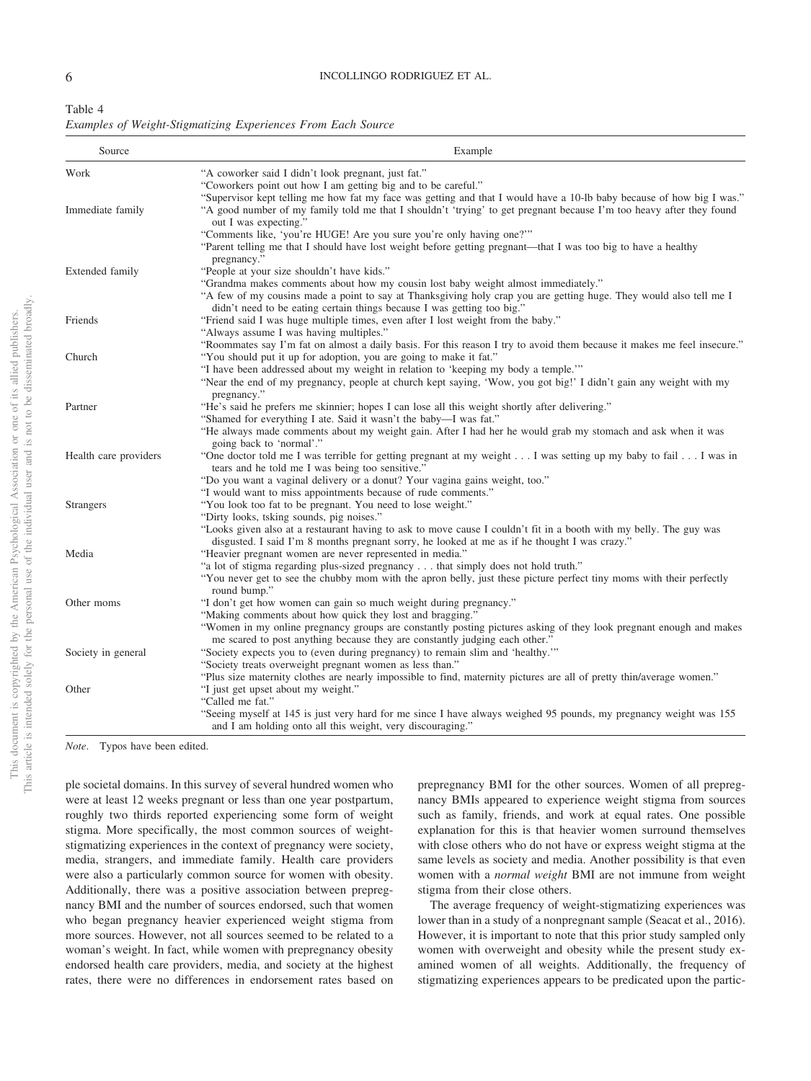This document is copyrighted by the American Psychological Association or one of its allied publishers. This article is intended solely for the personal use of the individual user and is not to be disseminated broadly.

This article is intended solely for the personal use of the individual user and is not to be disseminated broadly, This document is copyrighted by the American Psychological Association or one of its allied publishers.

<span id="page-5-0"></span>

| Table 4                                                      |  |  |
|--------------------------------------------------------------|--|--|
| Examples of Weight-Stigmatizing Experiences From Each Source |  |  |

| Source                | Example                                                                                                                                                                                                             |
|-----------------------|---------------------------------------------------------------------------------------------------------------------------------------------------------------------------------------------------------------------|
| Work                  | "A coworker said I didn't look pregnant, just fat."                                                                                                                                                                 |
|                       | "Coworkers point out how I am getting big and to be careful."                                                                                                                                                       |
|                       | "Supervisor kept telling me how fat my face was getting and that I would have a 10-lb baby because of how big I was."                                                                                               |
| Immediate family      | "A good number of my family told me that I shouldn't 'trying' to get pregnant because I'm too heavy after they found<br>out I was expecting."                                                                       |
|                       | "Comments like, 'you're HUGE! Are you sure you're only having one?""                                                                                                                                                |
|                       | "Parent telling me that I should have lost weight before getting pregnant—that I was too big to have a healthy<br>pregnancy."                                                                                       |
| Extended family       | "People at your size shouldn't have kids."                                                                                                                                                                          |
|                       | "Grandma makes comments about how my cousin lost baby weight almost immediately."                                                                                                                                   |
|                       | "A few of my cousins made a point to say at Thanksgiving holy crap you are getting huge. They would also tell me I<br>didn't need to be eating certain things because I was getting too big."                       |
| Friends               | "Friend said I was huge multiple times, even after I lost weight from the baby."                                                                                                                                    |
|                       | "Always assume I was having multiples."                                                                                                                                                                             |
|                       | "Roommates say I'm fat on almost a daily basis. For this reason I try to avoid them because it makes me feel insecure."                                                                                             |
| Church                | "You should put it up for adoption, you are going to make it fat."                                                                                                                                                  |
|                       | "I have been addressed about my weight in relation to 'keeping my body a temple."                                                                                                                                   |
|                       | "Near the end of my pregnancy, people at church kept saying, 'Wow, you got big!' I didn't gain any weight with my<br>pregnancy."                                                                                    |
| Partner               | "He's said he prefers me skinnier; hopes I can lose all this weight shortly after delivering."                                                                                                                      |
|                       | "Shamed for everything I ate. Said it wasn't the baby—I was fat."                                                                                                                                                   |
|                       | "He always made comments about my weight gain. After I had her he would grab my stomach and ask when it was<br>going back to 'normal'."                                                                             |
| Health care providers | "One doctor told me I was terrible for getting pregnant at my weight I was setting up my baby to fail I was in<br>tears and he told me I was being too sensitive."                                                  |
|                       | "Do you want a vaginal delivery or a donut? Your vagina gains weight, too."                                                                                                                                         |
|                       | "I would want to miss appointments because of rude comments."                                                                                                                                                       |
| <b>Strangers</b>      | "You look too fat to be pregnant. You need to lose weight."                                                                                                                                                         |
|                       | "Dirty looks, tsking sounds, pig noises."                                                                                                                                                                           |
|                       | "Looks given also at a restaurant having to ask to move cause I couldn't fit in a booth with my belly. The guy was<br>disgusted. I said I'm 8 months pregnant sorry, he looked at me as if he thought I was crazy." |
| Media                 | "Heavier pregnant women are never represented in media."                                                                                                                                                            |
|                       | "a lot of stigma regarding plus-sized pregnancy that simply does not hold truth."                                                                                                                                   |
|                       | "You never get to see the chubby mom with the apron belly, just these picture perfect tiny moms with their perfectly<br>round bump."                                                                                |
| Other moms            | "I don't get how women can gain so much weight during pregnancy."                                                                                                                                                   |
|                       | "Making comments about how quick they lost and bragging."                                                                                                                                                           |
|                       | "Women in my online pregnancy groups are constantly posting pictures asking of they look pregnant enough and makes<br>me scared to post anything because they are constantly judging each other."                   |
| Society in general    | "Society expects you to (even during pregnancy) to remain slim and 'healthy."                                                                                                                                       |
|                       | "Society treats overweight pregnant women as less than."                                                                                                                                                            |
|                       | "Plus size maternity clothes are nearly impossible to find, maternity pictures are all of pretty thin/average women."                                                                                               |
| Other                 | "I just get upset about my weight."                                                                                                                                                                                 |
|                       | "Called me fat."                                                                                                                                                                                                    |
|                       | "Seeing myself at 145 is just very hard for me since I have always weighed 95 pounds, my pregnancy weight was 155<br>and I am holding onto all this weight, very discouraging."                                     |

*Note*. Typos have been edited.

ple societal domains. In this survey of several hundred women who were at least 12 weeks pregnant or less than one year postpartum, roughly two thirds reported experiencing some form of weight stigma. More specifically, the most common sources of weightstigmatizing experiences in the context of pregnancy were society, media, strangers, and immediate family. Health care providers were also a particularly common source for women with obesity. Additionally, there was a positive association between prepregnancy BMI and the number of sources endorsed, such that women who began pregnancy heavier experienced weight stigma from more sources. However, not all sources seemed to be related to a woman's weight. In fact, while women with prepregnancy obesity endorsed health care providers, media, and society at the highest rates, there were no differences in endorsement rates based on prepregnancy BMI for the other sources. Women of all prepregnancy BMIs appeared to experience weight stigma from sources such as family, friends, and work at equal rates. One possible explanation for this is that heavier women surround themselves with close others who do not have or express weight stigma at the same levels as society and media. Another possibility is that even women with a *normal weight* BMI are not immune from weight stigma from their close others.

The average frequency of weight-stigmatizing experiences was lower than in a study of a nonpregnant sample (Seacat et al., 2016). However, it is important to note that this prior study sampled only women with overweight and obesity while the present study examined women of all weights. Additionally, the frequency of stigmatizing experiences appears to be predicated upon the partic-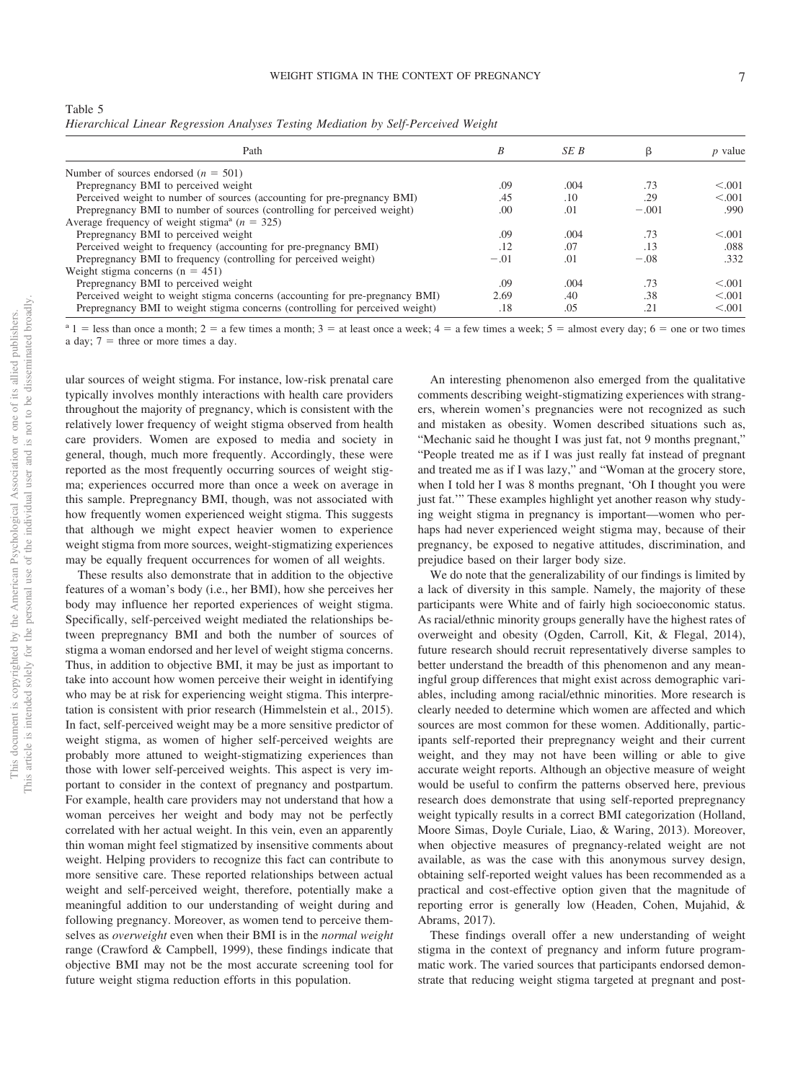|  | ٠ |  |  |
|--|---|--|--|

| Table 5                                                                            |  |  |  |  |
|------------------------------------------------------------------------------------|--|--|--|--|
| Hierarchical Linear Regression Analyses Testing Mediation by Self-Perceived Weight |  |  |  |  |

| Path                                                                          | B      | SE B | β       | $p$ value |
|-------------------------------------------------------------------------------|--------|------|---------|-----------|
| Number of sources endorsed $(n = 501)$                                        |        |      |         |           |
| Prepregnancy BMI to perceived weight                                          | .09    | .004 | .73     | < 0.01    |
| Perceived weight to number of sources (accounting for pre-pregnancy BMI)      | .45    | .10  | .29     | < 0.001   |
| Prepregnancy BMI to number of sources (controlling for perceived weight)      | .00    | .01  | $-.001$ | .990      |
| Average frequency of weight stigma <sup>a</sup> ( $n = 325$ )                 |        |      |         |           |
| Prepregnancy BMI to perceived weight                                          | .09    | .004 | .73     | < 0.01    |
| Perceived weight to frequency (accounting for pre-pregnancy BMI)              | .12    | .07  | .13     | .088      |
| Prepregnancy BMI to frequency (controlling for perceived weight)              | $-.01$ | .01  | $-.08$  | .332      |
| Weight stigma concerns $(n = 451)$                                            |        |      |         |           |
| Prepregnancy BMI to perceived weight                                          | .09    | .004 | .73     | < 0.001   |
| Perceived weight to weight stigma concerns (accounting for pre-pregnancy BMI) | 2.69   | .40  | .38     | < 0.01    |
| Prepregnancy BMI to weight stigma concerns (controlling for perceived weight) | .18    | .05  | .21     | < 0.001   |

 $a_1$  = less than once a month; 2 = a few times a month; 3 = at least once a week; 4 = a few times a week; 5 = almost every day; 6 = one or two times a day;  $7 =$  three or more times a day.

ular sources of weight stigma. For instance, low-risk prenatal care typically involves monthly interactions with health care providers throughout the majority of pregnancy, which is consistent with the relatively lower frequency of weight stigma observed from health care providers. Women are exposed to media and society in general, though, much more frequently. Accordingly, these were reported as the most frequently occurring sources of weight stigma; experiences occurred more than once a week on average in this sample. Prepregnancy BMI, though, was not associated with how frequently women experienced weight stigma. This suggests that although we might expect heavier women to experience weight stigma from more sources, weight-stigmatizing experiences may be equally frequent occurrences for women of all weights.

These results also demonstrate that in addition to the objective features of a woman's body (i.e., her BMI), how she perceives her body may influence her reported experiences of weight stigma. Specifically, self-perceived weight mediated the relationships between prepregnancy BMI and both the number of sources of stigma a woman endorsed and her level of weight stigma concerns. Thus, in addition to objective BMI, it may be just as important to take into account how women perceive their weight in identifying who may be at risk for experiencing weight stigma. This interpretation is consistent with prior research (Himmelstein et al., 2015). In fact, self-perceived weight may be a more sensitive predictor of weight stigma, as women of higher self-perceived weights are probably more attuned to weight-stigmatizing experiences than those with lower self-perceived weights. This aspect is very important to consider in the context of pregnancy and postpartum. For example, health care providers may not understand that how a woman perceives her weight and body may not be perfectly correlated with her actual weight. In this vein, even an apparently thin woman might feel stigmatized by insensitive comments about weight. Helping providers to recognize this fact can contribute to more sensitive care. These reported relationships between actual weight and self-perceived weight, therefore, potentially make a meaningful addition to our understanding of weight during and following pregnancy. Moreover, as women tend to perceive themselves as *overweight* even when their BMI is in the *normal weight* range (Crawford & Campbell, 1999), these findings indicate that objective BMI may not be the most accurate screening tool for future weight stigma reduction efforts in this population.

An interesting phenomenon also emerged from the qualitative comments describing weight-stigmatizing experiences with strangers, wherein women's pregnancies were not recognized as such and mistaken as obesity. Women described situations such as, "Mechanic said he thought I was just fat, not 9 months pregnant," "People treated me as if I was just really fat instead of pregnant and treated me as if I was lazy," and "Woman at the grocery store, when I told her I was 8 months pregnant, 'Oh I thought you were just fat.'" These examples highlight yet another reason why studying weight stigma in pregnancy is important—women who perhaps had never experienced weight stigma may, because of their pregnancy, be exposed to negative attitudes, discrimination, and prejudice based on their larger body size.

We do note that the generalizability of our findings is limited by a lack of diversity in this sample. Namely, the majority of these participants were White and of fairly high socioeconomic status. As racial/ethnic minority groups generally have the highest rates of overweight and obesity (Ogden, Carroll, Kit, & Flegal, 2014), future research should recruit representatively diverse samples to better understand the breadth of this phenomenon and any meaningful group differences that might exist across demographic variables, including among racial/ethnic minorities. More research is clearly needed to determine which women are affected and which sources are most common for these women. Additionally, participants self-reported their prepregnancy weight and their current weight, and they may not have been willing or able to give accurate weight reports. Although an objective measure of weight would be useful to confirm the patterns observed here, previous research does demonstrate that using self-reported prepregnancy weight typically results in a correct BMI categorization (Holland, Moore Simas, Doyle Curiale, Liao, & Waring, 2013). Moreover, when objective measures of pregnancy-related weight are not available, as was the case with this anonymous survey design, obtaining self-reported weight values has been recommended as a practical and cost-effective option given that the magnitude of reporting error is generally low (Headen, Cohen, Mujahid, & Abrams, 2017).

These findings overall offer a new understanding of weight stigma in the context of pregnancy and inform future programmatic work. The varied sources that participants endorsed demonstrate that reducing weight stigma targeted at pregnant and post